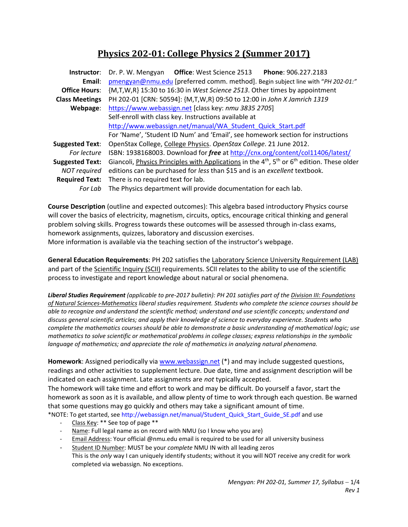# **Physics 202‐01: College Physics 2 (Summer 2017)**

| <b>Office: West Science 2513</b><br>Phone: 906.227.2183<br>Dr. P. W. Mengyan                                                           |  |  |  |  |  |  |
|----------------------------------------------------------------------------------------------------------------------------------------|--|--|--|--|--|--|
| pmengyan@nmu.edu [preferred comm. method]. Begin subject line with "PH 202-01:"                                                        |  |  |  |  |  |  |
| {M,T,W,R} 15:30 to 16:30 in West Science 2513. Other times by appointment                                                              |  |  |  |  |  |  |
| PH 202-01 [CRN: 50594]: {M,T,W,R} 09:50 to 12:00 in John X Jamrich 1319                                                                |  |  |  |  |  |  |
| https://www.webassign.net [class key: nmu 3835 2705]                                                                                   |  |  |  |  |  |  |
| Self-enroll with class key. Instructions available at                                                                                  |  |  |  |  |  |  |
| http://www.webassign.net/manual/WA_Student_Quick_Start.pdf                                                                             |  |  |  |  |  |  |
| For 'Name', 'Student ID Num' and 'Email', see homework section for instructions                                                        |  |  |  |  |  |  |
| OpenStax College, College Physics. OpenStax College. 21 June 2012.<br><b>Suggested Text:</b>                                           |  |  |  |  |  |  |
| ISBN: 1938168003. Download for free at http://cnx.org/content/col11406/latest/<br>For lecture                                          |  |  |  |  |  |  |
| Giancoli, <i>Physics Principles with Applications</i> in the 4 <sup>th</sup> , 5 <sup>th</sup> or 6 <sup>th</sup> edition. These older |  |  |  |  |  |  |
| editions can be purchased for less than \$15 and is an excellent textbook.<br><b>NOT</b> required                                      |  |  |  |  |  |  |
| There is no required text for lab.                                                                                                     |  |  |  |  |  |  |
| The Physics department will provide documentation for each lab.                                                                        |  |  |  |  |  |  |
|                                                                                                                                        |  |  |  |  |  |  |

**Course Description** (outline and expected outcomes): This algebra based introductory Physics course will cover the basics of electricity, magnetism, circuits, optics, encourage critical thinking and general problem solving skills. Progress towards these outcomes will be assessed through in‐class exams, homework assignments, quizzes, laboratory and discussion exercises. More information is available via the teaching section of the instructor's webpage.

**General Education Requirements**: PH 202 satisfies the Laboratory Science University Requirement (LAB) and part of the Scientific Inquiry (SCII) requirements. SCII relates to the ability to use of the scientific process to investigate and report knowledge about natural or social phenomena.

*Liberal Studies Requirement (applicable to pre‐2017 bulletin): PH 201 satisfies part of the Division III: Foundations of Natural Sciences‐Mathematics liberal studies requirement. Students who complete the science courses should be able to recognize and understand the scientific method; understand and use scientific concepts; understand and discuss general scientific articles; and apply their knowledge of science to everyday experience. Students who complete the mathematics courses should be able to demonstrate a basic understanding of mathematical logic; use mathematics to solve scientific or mathematical problems in college classes; express relationships in the symbolic language of mathematics; and appreciate the role of mathematics in analyzing natural phenomena.* 

**Homework**: Assigned periodically via www.webassign.net (\*) and may include suggested questions, readings and other activities to supplement lecture. Due date, time and assignment description will be indicated on each assignment. Late assignments are *not* typically accepted.

The homework will take time and effort to work and may be difficult. Do yourself a favor, start the homework as soon as it is available, and allow plenty of time to work through each question. Be warned that some questions may go quickly and others may take a significant amount of time. \*NOTE: To get started, see http://webassign.net/manual/Student\_Quick\_Start\_Guide\_SE.pdf and use

- ‐ Class Key: \*\* See top of page \*\*
- Name: Full legal name as on record with NMU (so I know who you are)
- ‐ Email Address: Your official @nmu.edu email is required to be used for all university business
- ‐ Student ID Number: MUST be your *complete* NMU IN with all leading zeros This is the *only* way I can uniquely identify students; without it you will NOT receive any credit for work completed via webassign. No exceptions.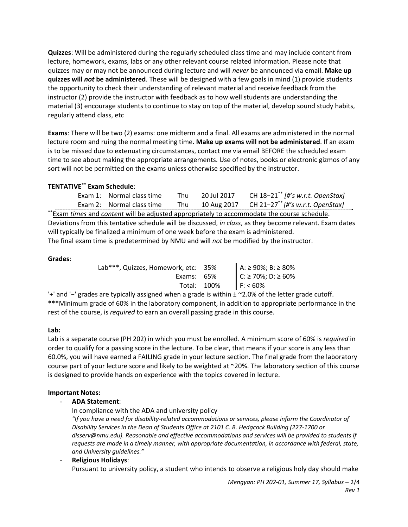**Quizzes**: Will be administered during the regularly scheduled class time and may include content from lecture, homework, exams, labs or any other relevant course related information. Please note that quizzes may or may not be announced during lecture and will *never* be announced via email. **Make up quizzes will** *not* **be administered**. These will be designed with a few goals in mind (1) provide students the opportunity to check their understanding of relevant material and receive feedback from the instructor (2) provide the instructor with feedback as to how well students are understanding the material (3) encourage students to continue to stay on top of the material, develop sound study habits, regularly attend class, etc

**Exams**: There will be two (2) exams: one midterm and a final. All exams are administered in the normal lecture room and ruing the normal meeting time. **Make up exams will not be administered**. If an exam is to be missed due to extenuating circumstances, contact me via email BEFORE the scheduled exam time to see about making the appropriate arrangements. Use of notes, books or electronic gizmos of any sort will not be permitted on the exams unless otherwise specified by the instructor.

# **TENTATIVE\*\* Exam Schedule**:

|                                                                                                          |  | Exam 1: Normal class time | Thu | 20 Jul 2017 | CH $18-21^{**}$ [#'s w.r.t. OpenStax]                    |  |  |
|----------------------------------------------------------------------------------------------------------|--|---------------------------|-----|-------------|----------------------------------------------------------|--|--|
|                                                                                                          |  | Exam 2: Normal class time | Thu |             | 10 Aug 2017 CH 21-27 <sup>**</sup> [#'s w.r.t. OpenStax] |  |  |
| ** Exam times and content will be adjusted appropriately to accommodate the course schedule.             |  |                           |     |             |                                                          |  |  |
| Deviations from this tentative schedule will be discussed, in class, as they become relevant. Exam dates |  |                           |     |             |                                                          |  |  |
| will typically be finalized a minimum of one week before the exam is administered.                       |  |                           |     |             |                                                          |  |  |
| The final exam time is predetermined by NMU and will not be modified by the instructor.                  |  |                           |     |             |                                                          |  |  |

#### **Grades**:

| Lab***, Quizzes, Homework, etc: 35%                                                          |             | A: ≥ 90%; B: ≥ 80% |
|----------------------------------------------------------------------------------------------|-------------|--------------------|
| Exams: $65%$                                                                                 |             | C: ≥ 70%; D: ≥ 60% |
|                                                                                              | Total: 100% | F: 60%             |
| $^{\prime}$ grades are tynically assigned when a grade is within + ~2 0% of the letter given |             |                    |

'+' and '−' grades are typically assigned when a grade is within ± ~2.0% of the letter grade cutoff. **\*\*\***Minimum grade of 60% in the laboratory component, in addition to appropriate performance in the rest of the course, is *required* to earn an overall passing grade in this course.

#### **Lab:**

Lab is a separate course (PH 202) in which you must be enrolled. A minimum score of 60% is *required* in order to qualify for a passing score in the lecture. To be clear, that means if your score is any less than 60.0%, you will have earned a FAILING grade in your lecture section. The final grade from the laboratory course part of your lecture score and likely to be weighted at ~20%. The laboratory section of this course is designed to provide hands on experience with the topics covered in lecture.

#### **Important Notes:**

#### - **ADA Statement**:

In compliance with the ADA and university policy

*"If you have a need for disability‐related accommodations or services, please inform the Coordinator of Disability Services in the Dean of Students Office at 2101 C. B. Hedgcock Building (227‐1700 or disserv@nmu.edu). Reasonable and effective accommodations and services will be provided to students if requests are made in a timely manner, with appropriate documentation, in accordance with federal, state, and University guidelines."*

## - **Religious Holidays**:

Pursuant to university policy, a student who intends to observe a religious holy day should make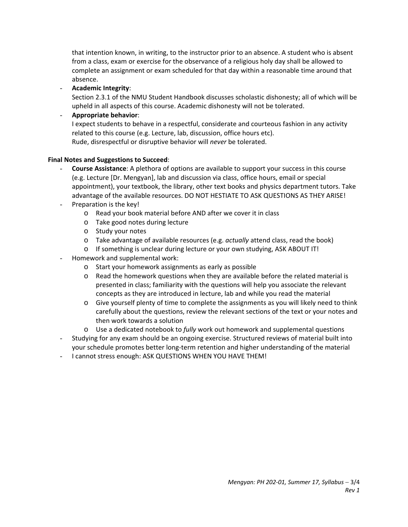that intention known, in writing, to the instructor prior to an absence. A student who is absent from a class, exam or exercise for the observance of a religious holy day shall be allowed to complete an assignment or exam scheduled for that day within a reasonable time around that absence.

- **Academic Integrity**:

Section 2.3.1 of the NMU Student Handbook discusses scholastic dishonesty; all of which will be upheld in all aspects of this course. Academic dishonesty will not be tolerated.

- **Appropriate behavior**:

I expect students to behave in a respectful, considerate and courteous fashion in any activity related to this course (e.g. Lecture, lab, discussion, office hours etc). Rude, disrespectful or disruptive behavior will *never* be tolerated.

### **Final Notes and Suggestions to Succeed**:

- **Course Assistance**: A plethora of options are available to support your success in this course (e.g. Lecture [Dr. Mengyan], lab and discussion via class, office hours, email or special appointment), your textbook, the library, other text books and physics department tutors. Take advantage of the available resources. DO NOT HESTIATE TO ASK QUESTIONS AS THEY ARISE!
- Preparation is the key!
	- o Read your book material before AND after we cover it in class
	- o Take good notes during lecture
	- o Study your notes
	- o Take advantage of available resources (e.g. *actually* attend class, read the book)
	- o If something is unclear during lecture or your own studying, ASK ABOUT IT!
- Homework and supplemental work:
	- o Start your homework assignments as early as possible
	- $\circ$  Read the homework questions when they are available before the related material is presented in class; familiarity with the questions will help you associate the relevant concepts as they are introduced in lecture, lab and while you read the material
	- $\circ$  Give yourself plenty of time to complete the assignments as you will likely need to think carefully about the questions, review the relevant sections of the text or your notes and then work towards a solution
	- o Use a dedicated notebook to *fully* work out homework and supplemental questions
- Studying for any exam should be an ongoing exercise. Structured reviews of material built into your schedule promotes better long‐term retention and higher understanding of the material
- I cannot stress enough: ASK QUESTIONS WHEN YOU HAVE THEM!